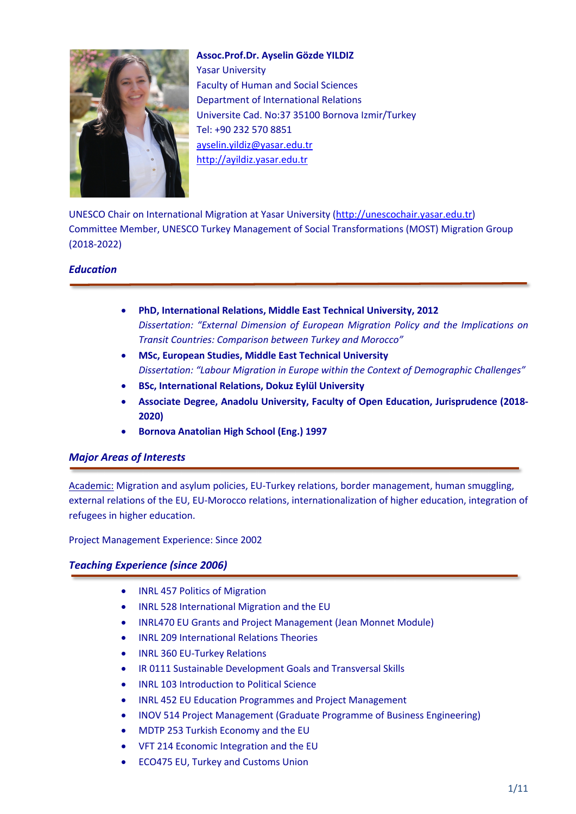

**Assoc.Prof.Dr. Ayselin Gözde YILDIZ** Yasar University Faculty of Human and Social Sciences Department of International Relations Universite Cad. No:37 35100 Bornova Izmir/Turkey Tel: +90 232 570 8851 ayselin.yildiz@yasar.edu.tr http://ayildiz.yasar.edu.tr

UNESCO Chair on International Migration at Yasar University (http://unescochair.yasar.edu.tr) Committee Member, UNESCO Turkey Management of Social Transformations (MOST) Migration Group (2018-2022)

# *Education*

- **PhD, International Relations, Middle East Technical University, 2012** *Dissertation: "External Dimension of European Migration Policy and the Implications on Transit Countries: Comparison between Turkey and Morocco"*
- **MSc, European Studies, Middle East Technical University** *Dissertation: "Labour Migration in Europe within the Context of Demographic Challenges"*
- **BSc, International Relations, Dokuz Eylül University**
- **Associate Degree, Anadolu University, Faculty of Open Education, Jurisprudence (2018- 2020)**
- **Bornova Anatolian High School (Eng.) 1997**

# *Major Areas of Interests*

Academic: Migration and asylum policies, EU-Turkey relations, border management, human smuggling, external relations of the EU, EU-Morocco relations, internationalization of higher education, integration of refugees in higher education.

Project Management Experience: Since 2002

## *Teaching Experience (since 2006)*

- INRL 457 Politics of Migration
- INRL 528 International Migration and the EU
- INRL470 EU Grants and Project Management (Jean Monnet Module)
- INRL 209 International Relations Theories
- INRL 360 EU-Turkey Relations
- IR 0111 Sustainable Development Goals and Transversal Skills
- INRL 103 Introduction to Political Science
- INRL 452 EU Education Programmes and Project Management
- INOV 514 Project Management (Graduate Programme of Business Engineering)
- MDTP 253 Turkish Economy and the EU
- VFT 214 Economic Integration and the EU
- ECO475 EU, Turkey and Customs Union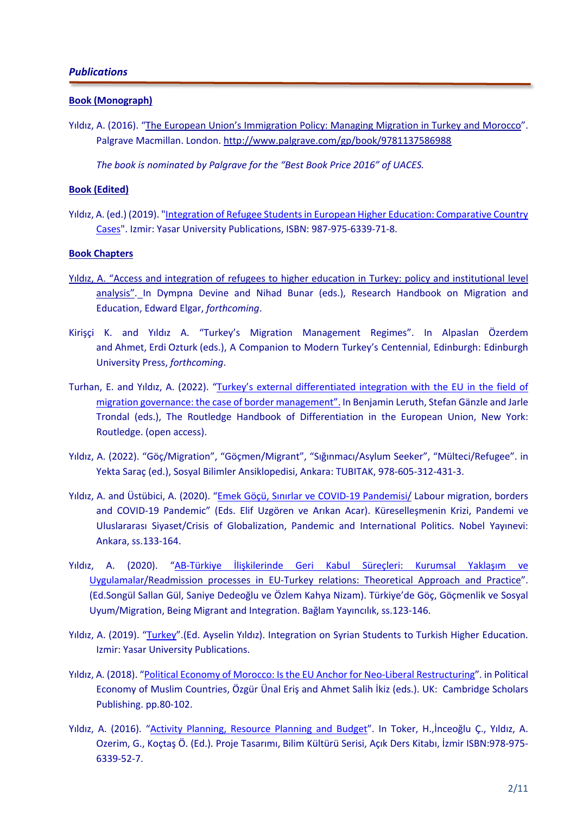#### **Book (Monograph)**

Yıldız, A. (2016). "The European Union's Immigration Policy: Managing Migration in Turkey and Morocco". Palgrave Macmillan. London. http://www.palgrave.com/gp/book/9781137586988

*The book is nominated by Palgrave for the "Best Book Price 2016" of UACES.* 

### **Book (Edited)**

Yıldız, A. (ed.) (2019). "Integration of Refugee Students in European Higher Education: Comparative Country Cases". Izmir: Yasar University Publications, ISBN: 987-975-6339-71-8.

### **Book Chapters**

- Yıldız, A. "Access and integration of refugees to higher education in Turkey: policy and institutional level analysis". In Dympna Devine and Nihad Bunar (eds.), Research Handbook on Migration and Education, Edward Elgar, *forthcoming*.
- Kirişçi K. and Yıldız A. "Turkey's Migration Management Regimes". In Alpaslan Özerdem and Ahmet, Erdi Ozturk (eds.), A Companion to Modern Turkey's Centennial, Edinburgh: Edinburgh University Press, *forthcoming*.
- Turhan, E. and Yıldız, A. (2022). "Turkey's external differentiated integration with the EU in the field of migration governance: the case of border management". In Benjamin Leruth, Stefan Gänzle and Jarle Trondal (eds.), The Routledge Handbook of Differentiation in the European Union, New York: Routledge. (open access).
- Yıldız, A. (2022). "Göç/Migration", "Göçmen/Migrant", "Sığınmacı/Asylum Seeker", "Mülteci/Refugee". in Yekta Saraç (ed.), Sosyal Bilimler Ansiklopedisi, Ankara: TUBITAK, 978-605-312-431-3.
- Yıldız, A. and Üstübici, A. (2020). "Emek Göçü, Sınırlar ve COVID-19 Pandemisi/ Labour migration, borders and COVID-19 Pandemic" (Eds. Elif Uzgören ve Arıkan Acar). Küreselleşmenin Krizi, Pandemi ve Uluslararası Siyaset/Crisis of Globalization, Pandemic and International Politics. Nobel Yayınevi: Ankara, ss.133-164.
- Yıldız, A. (2020). "AB-Türkiye İlişkilerinde Geri Kabul Süreçleri: Kurumsal Yaklaşım ve Uygulamalar/Readmission processes in EU-Turkey relations: Theoretical Approach and Practice". (Ed.Songül Sallan Gül, Saniye Dedeoğlu ve Özlem Kahya Nizam). Türkiye'de Göç, Göçmenlik ve Sosyal Uyum/Migration, Being Migrant and Integration. Bağlam Yayıncılık, ss.123-146.
- Yıldız, A. (2019). "Turkey".(Ed. Ayselin Yıldız). Integration on Syrian Students to Turkish Higher Education. Izmir: Yasar University Publications.
- Yıldız, A. (2018). "Political Economy of Morocco: Is the EU Anchor for Neo-Liberal Restructuring". in Political Economy of Muslim Countries, Özgür Ünal Eriş and Ahmet Salih İkiz (eds.). UK: Cambridge Scholars Publishing. pp.80-102.
- Yıldız, A. (2016). "Activity Planning, Resource Planning and Budget". In Toker, H.,İnceoğlu Ç., Yıldız, A. Ozerim, G., Koçtaş Ö. (Ed.). Proje Tasarımı, Bilim Kültürü Serisi, Açık Ders Kitabı, İzmir ISBN:978-975- 6339-52-7.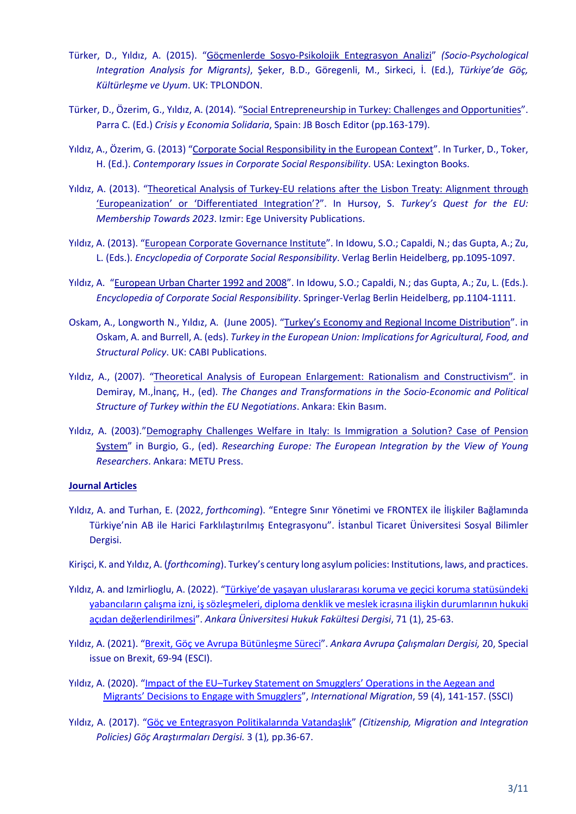- Türker, D., Yıldız, A. (2015). "Göçmenlerde Sosyo-Psikolojik Entegrasyon Analizi" *(Socio-Psychological Integration Analysis for Migrants)*, Şeker, B.D., Göregenli, M., Sirkeci, İ. (Ed.), *Türkiye'de Göç, Kültürleşme ve Uyum*. UK: TPLONDON.
- Türker, D., Özerim, G., Yıldız, A. (2014). "Social Entrepreneurship in Turkey: Challenges and Opportunities". Parra C. (Ed.) *Crisis y Economia Solidaria*, Spain: JB Bosch Editor (pp.163-179).
- Yıldız, A., Özerim, G. (2013) "Corporate Social Responsibility in the European Context". In Turker, D., Toker, H. (Ed.). *Contemporary Issues in Corporate Social Responsibility*. USA: Lexington Books.
- Yıldız, A. (2013). "Theoretical Analysis of Turkey-EU relations after the Lisbon Treaty: Alignment through 'Europeanization' or 'Differentiated Integration'?". In Hursoy, S. *Turkey's Quest for the EU: Membership Towards 2023*. Izmir: Ege University Publications.
- Yıldız, A. (2013). "European Corporate Governance Institute". In Idowu, S.O.; Capaldi, N.; das Gupta, A.; Zu, L. (Eds.). *Encyclopedia of Corporate Social Responsibility*. Verlag Berlin Heidelberg, pp.1095-1097.
- Yıldız, A. "European Urban Charter 1992 and 2008". In Idowu, S.O.; Capaldi, N.; das Gupta, A.; Zu, L. (Eds.). *Encyclopedia of Corporate Social Responsibility*. Springer-Verlag Berlin Heidelberg, pp.1104-1111.
- Oskam, A., Longworth N., Yıldız, A. (June 2005). "Turkey's Economy and Regional Income Distribution". in Oskam, A. and Burrell, A. (eds). *Turkey in the European Union: Implications for Agricultural, Food, and Structural Policy*. UK: CABI Publications.
- Yıldız, A., (2007). "Theoretical Analysis of European Enlargement: Rationalism and Constructivism". in Demiray, M.,İnanç, H., (ed). *The Changes and Transformations in the Socio-Economic and Political Structure of Turkey within the EU Negotiations*. Ankara: Ekin Basım.
- Yıldız, A. (2003)."Demography Challenges Welfare in Italy: Is Immigration a Solution? Case of Pension System" in Burgio, G., (ed). *Researching Europe: The European Integration by the View of Young Researchers*. Ankara: METU Press.

#### **Journal Articles**

- Yıldız, A. and Turhan, E. (2022, *forthcoming*). "Entegre Sınır Yönetimi ve FRONTEX ile İlişkiler Bağlamında Türkiye'nin AB ile Harici Farklılaştırılmış Entegrasyonu". İstanbul Ticaret Üniversitesi Sosyal Bilimler Dergisi.
- Kirişci, K. and Yıldız, A. (*forthcoming*). Turkey's century long asylum policies: Institutions, laws, and practices.
- Yıldız, A. and Izmirlioglu, A. (2022). "Türkiye'de yaşayan uluslararası koruma ve geçici koruma statüsündeki yabancıların çalışma izni, iş sözleşmeleri, diploma denklik ve meslek icrasına ilişkin durumlarının hukuki açıdan değerlendirilmesi". *Ankara Üniversitesi Hukuk Fakültesi Dergisi*, 71 (1), 25-63.
- Yıldız, A. (2021). "Brexit, Göç ve Avrupa Bütünleşme Süreci". *Ankara Avrupa Çalışmaları Dergisi,* 20, Special issue on Brexit, 69-94 (ESCI).
- Yıldız, A. (2020). "Impact of the EU–Turkey Statement on Smugglers' Operations in the Aegean and Migrants' Decisions to Engage with Smugglers", *International Migration*, 59 (4), 141-157. (SSCI)
- Yıldız, A. (2017). "Göç ve Entegrasyon Politikalarında Vatandaşlık" *(Citizenship, Migration and Integration Policies) Göç Araştırmaları Dergisi.* 3 (1)*,* pp.36-67.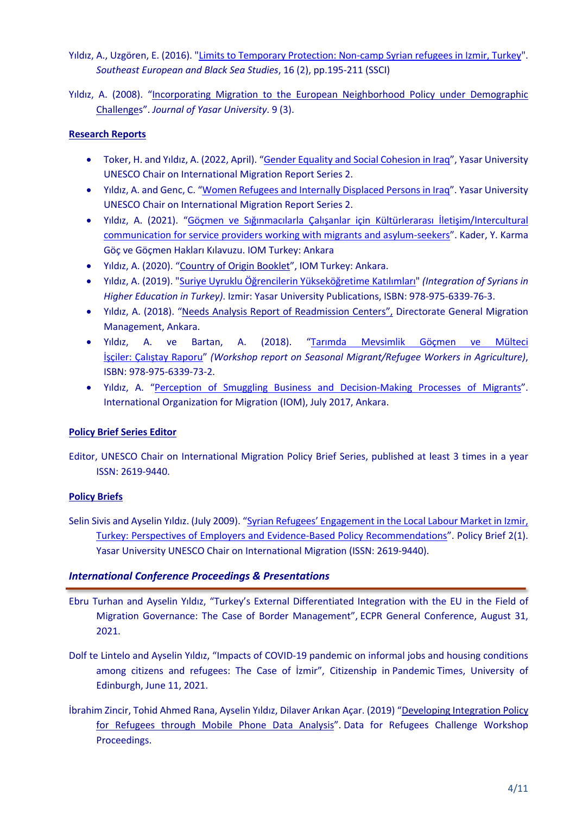Yıldız, A., Uzgören, E. (2016). "Limits to Temporary Protection: Non-camp Syrian refugees in Izmir, Turkey". *Southeast European and Black Sea Studies*, 16 (2), pp.195-211 (SSCI)

Yıldız, A. (2008). "Incorporating Migration to the European Neighborhood Policy under Demographic Challenges". *Journal of Yasar University*. 9 (3).

## **Research Reports**

- Toker, H. and Yıldız, A. (2022, April). "Gender Equality and Social Cohesion in Iraq", Yasar University UNESCO Chair on International Migration Report Series 2.
- Yıldız, A. and Genc, C. "Women Refugees and Internally Displaced Persons in Iraq". Yasar University UNESCO Chair on International Migration Report Series 2.
- Yıldız, A. (2021). "Göçmen ve Sığınmacılarla Çalışanlar için Kültürlerarası İletişim/Intercultural communication for service providers working with migrants and asylum-seekers". Kader, Y. Karma Göç ve Göçmen Hakları Kılavuzu. IOM Turkey: Ankara
- Yıldız, A. (2020). "Country of Origin Booklet", IOM Turkey: Ankara.
- Yıldız, A. (2019). "Suriye Uyruklu Öğrencilerin Yükseköğretime Katılımları" *(Integration of Syrians in Higher Education in Turkey)*. Izmir: Yasar University Publications, ISBN: 978-975-6339-76-3.
- Yıldız, A. (2018). "Needs Analysis Report of Readmission Centers", Directorate General Migration Management, Ankara.
- Yıldız, A. ve Bartan, A. (2018). "Tarımda Mevsimlik Göçmen ve Mülteci İşçiler: Çalıştay Raporu" *(Workshop report on Seasonal Migrant/Refugee Workers in Agriculture)*, ISBN: 978-975-6339-73-2.
- Yıldız, A. "Perception of Smuggling Business and Decision-Making Processes of Migrants". International Organization for Migration (IOM), July 2017, Ankara.

## **Policy Brief Series Editor**

Editor, UNESCO Chair on International Migration Policy Brief Series, published at least 3 times in a year ISSN: 2619-9440.

## **Policy Briefs**

Selin Sivis and Ayselin Yıldız. (July 2009). "Syrian Refugees' Engagement in the Local Labour Market in Izmir, Turkey: Perspectives of Employers and Evidence-Based Policy Recommendations". Policy Brief 2(1). Yasar University UNESCO Chair on International Migration (ISSN: 2619-9440).

## *International Conference Proceedings & Presentations*

- Ebru Turhan and Ayselin Yıldız, "Turkey's External Differentiated Integration with the EU in the Field of Migration Governance: The Case of Border Management", ECPR General Conference, August 31, 2021.
- Dolf te Lintelo and Ayselin Yıldız, "Impacts of COVID-19 pandemic on informal jobs and housing conditions among citizens and refugees: The Case of İzmir", Citizenship in Pandemic Times, University of Edinburgh, June 11, 2021.
- İbrahim Zincir, Tohid Ahmed Rana, Ayselin Yıldız, Dilaver Arıkan Açar. (2019) "Developing Integration Policy for Refugees through Mobile Phone Data Analysis". Data for Refugees Challenge Workshop Proceedings.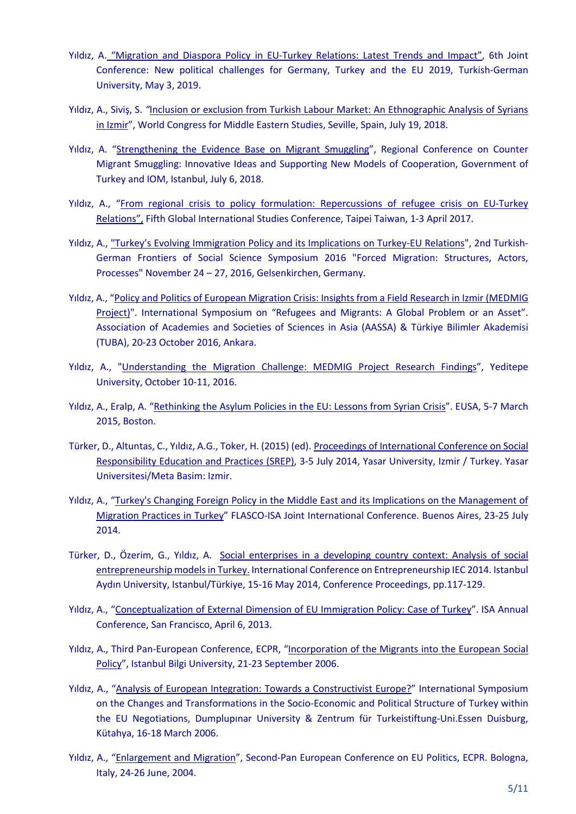- Yıldız, A. "Migration and Diaspora Policy in EU-Turkey Relations: Latest Trends and Impact", 6th Joint Conference: New political challenges for Germany, Turkey and the EU 2019, Turkish-German University, May 3, 2019.
- Yıldız, A., Siviş, S. *"*Inclusion or exclusion from Turkish Labour Market: An Ethnographic Analysis of Syrians in Izmir", World Congress for Middle Eastern Studies, Seville, Spain, July 19, 2018.
- Yıldız, A. "Strengthening the Evidence Base on Migrant Smuggling", Regional Conference on Counter Migrant Smuggling: Innovative Ideas and Supporting New Models of Cooperation, Government of Turkey and IOM, Istanbul, July 6, 2018.
- Yıldız, A., "From regional crisis to policy formulation: Repercussions of refugee crisis on EU-Turkey Relations", Fifth Global International Studies Conference, Taipei Taiwan, 1-3 April 2017.
- Yıldız, A., "Turkey's Evolving Immigration Policy and its Implications on Turkey-EU Relations", 2nd Turkish-German Frontiers of Social Science Symposium 2016 "Forced Migration: Structures, Actors, Processes" November 24 – 27, 2016, Gelsenkirchen, Germany.
- Yıldız, A., "Policy and Politics of European Migration Crisis: Insights from a Field Research in Izmir (MEDMIG Project)". International Symposium on "Refugees and Migrants: A Global Problem or an Asset". Association of Academies and Societies of Sciences in Asia (AASSA) & Türkiye Bilimler Akademisi (TUBA), 20-23 October 2016, Ankara.
- Yıldız, A., "Understanding the Migration Challenge: MEDMIG Project Research Findings", Yeditepe University, October 10-11, 2016.
- Yıldız, A., Eralp, A. "Rethinking the Asylum Policies in the EU: Lessons from Syrian Crisis". EUSA, 5-7 March 2015, Boston.
- Türker, D., Altuntas, C., Yıldız, A.G., Toker, H. (2015) (ed). Proceedings of International Conference on Social Responsibility Education and Practices (SREP), 3-5 July 2014, Yasar University, Izmir / Turkey. Yasar Universitesi/Meta Basim: Izmir.
- Yıldız, A., "Turkey's Changing Foreign Policy in the Middle East and its Implications on the Management of Migration Practices in Turkey" FLASCO-ISA Joint International Conference. Buenos Aires, 23-25 July 2014.
- Türker, D., Özerim, G., Yıldız, A. Social enterprises in a developing country context: Analysis of social entrepreneurship models in Turkey. International Conference on Entrepreneurship IEC 2014. Istanbul Aydın University, Istanbul/Türkiye, 15-16 May 2014, Conference Proceedings, pp.117-129.
- Yıldız, A., "Conceptualization of External Dimension of EU Immigration Policy: Case of Turkey". ISA Annual Conference, San Francisco, April 6, 2013.
- Yıldız, A., Third Pan-European Conference, ECPR, "Incorporation of the Migrants into the European Social Policy", Istanbul Bilgi University, 21-23 September 2006.
- Yıldız, A., "Analysis of European Integration: Towards a Constructivist Europe?" International Symposium on the Changes and Transformations in the Socio-Economic and Political Structure of Turkey within the EU Negotiations, Dumplupınar University & Zentrum für Turkeistiftung-Uni.Essen Duisburg, Kütahya, 16-18 March 2006.
- Yıldız, A., "Enlargement and Migration", Second-Pan European Conference on EU Politics, ECPR. Bologna, Italy, 24-26 June, 2004.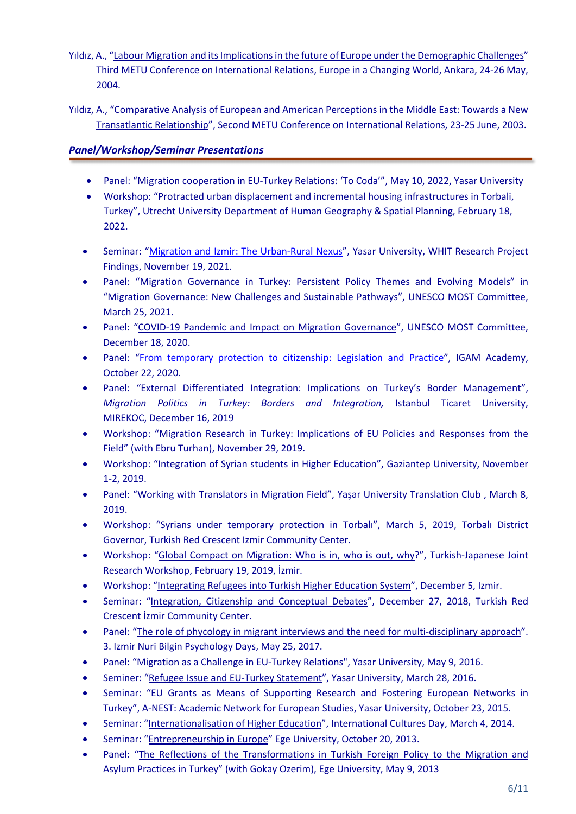- Yıldız, A., "Labour Migration and its Implications in the future of Europe under the Demographic Challenges" Third METU Conference on International Relations, Europe in a Changing World, Ankara, 24-26 May, 2004.
- Yıldız, A., "Comparative Analysis of European and American Perceptions in the Middle East: Towards a New Transatlantic Relationship", Second METU Conference on International Relations, 23-25 June, 2003.

# *Panel/Workshop/Seminar Presentations*

- Panel: "Migration cooperation in EU-Turkey Relations: 'To Coda'", May 10, 2022, Yasar University
- Workshop: "Protracted urban displacement and incremental housing infrastructures in Torbali, Turkey", Utrecht University Department of Human Geography & Spatial Planning, February 18, 2022.
- Seminar: "Migration and Izmir: The Urban-Rural Nexus", Yasar University, WHIT Research Project Findings, November 19, 2021.
- Panel: "Migration Governance in Turkey: Persistent Policy Themes and Evolving Models" in "Migration Governance: New Challenges and Sustainable Pathways", UNESCO MOST Committee, March 25, 2021.
- Panel: "COVID-19 Pandemic and Impact on Migration Governance", UNESCO MOST Committee, December 18, 2020.
- Panel: "From temporary protection to citizenship: Legislation and Practice", IGAM Academy, October 22, 2020.
- Panel: "External Differentiated Integration: Implications on Turkey's Border Management", *Migration Politics in Turkey: Borders and Integration,* Istanbul Ticaret University, MIREKOC, December 16, 2019
- Workshop: "Migration Research in Turkey: Implications of EU Policies and Responses from the Field" (with Ebru Turhan), November 29, 2019.
- Workshop: "Integration of Syrian students in Higher Education", Gaziantep University, November 1-2, 2019.
- Panel: "Working with Translators in Migration Field", Yaşar University Translation Club , March 8, 2019.
- Workshop: "Syrians under temporary protection in Torbalı", March 5, 2019, Torbalı District Governor, Turkish Red Crescent Izmir Community Center.
- Workshop: "Global Compact on Migration: Who is in, who is out, why?", Turkish-Japanese Joint Research Workshop, February 19, 2019, İzmir.
- Workshop: "Integrating Refugees into Turkish Higher Education System", December 5, Izmir.
- Seminar: "Integration, Citizenship and Conceptual Debates", December 27, 2018, Turkish Red Crescent İzmir Community Center.
- Panel: "The role of phycology in migrant interviews and the need for multi-disciplinary approach". 3. Izmir Nuri Bilgin Psychology Days, May 25, 2017.
- Panel: "Migration as a Challenge in EU-Turkey Relations", Yasar University, May 9, 2016.
- Seminer: "Refugee Issue and EU-Turkey Statement", Yasar University, March 28, 2016.
- Seminar: "EU Grants as Means of Supporting Research and Fostering European Networks in Turkey", A-NEST: Academic Network for European Studies, Yasar University, October 23, 2015.
- Seminar: "Internationalisation of Higher Education", International Cultures Day, March 4, 2014.
- Seminar: "Entrepreneurship in Europe" Ege University, October 20, 2013.
- Panel: "The Reflections of the Transformations in Turkish Foreign Policy to the Migration and Asylum Practices in Turkey" (with Gokay Ozerim), Ege University, May 9, 2013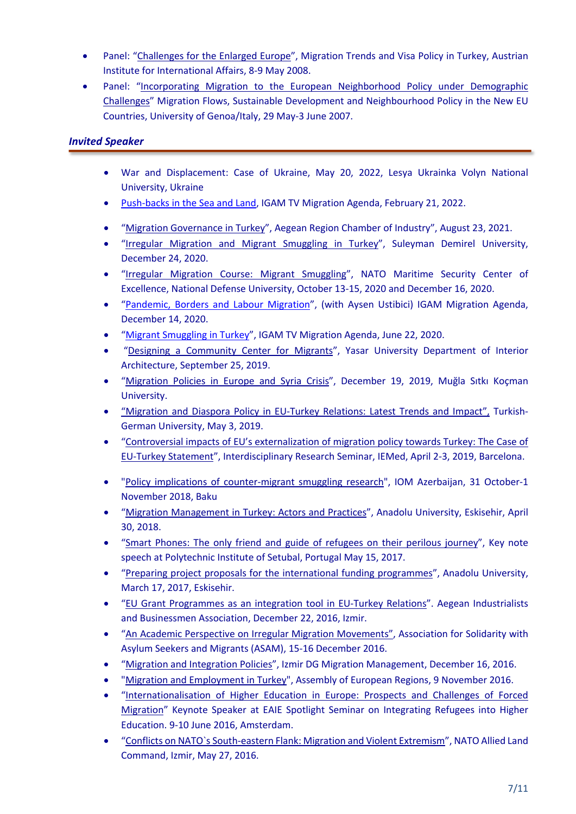- Panel: "Challenges for the Enlarged Europe", Migration Trends and Visa Policy in Turkey, Austrian Institute for International Affairs, 8-9 May 2008.
- Panel: "Incorporating Migration to the European Neighborhood Policy under Demographic Challenges" Migration Flows, Sustainable Development and Neighbourhood Policy in the New EU Countries, University of Genoa/Italy, 29 May-3 June 2007.

# *Invited Speaker*

- War and Displacement: Case of Ukraine, May 20, 2022, Lesya Ukrainka Volyn National University, Ukraine
- Push-backs in the Sea and Land, IGAM TV Migration Agenda, February 21, 2022.
- "Migration Governance in Turkey", Aegean Region Chamber of Industry", August 23, 2021.
- "Irregular Migration and Migrant Smuggling in Turkey", Suleyman Demirel University, December 24, 2020.
- "Irregular Migration Course: Migrant Smuggling", NATO Maritime Security Center of Excellence, National Defense University, October 13-15, 2020 and December 16, 2020.
- "Pandemic, Borders and Labour Migration", (with Aysen Ustibici) IGAM Migration Agenda, December 14, 2020.
- "Migrant Smuggling in Turkey", IGAM TV Migration Agenda, June 22, 2020.
- "Designing a Community Center for Migrants", Yasar University Department of Interior Architecture, September 25, 2019.
- "Migration Policies in Europe and Syria Crisis", December 19, 2019, Muğla Sıtkı Koçman University.
- "Migration and Diaspora Policy in EU-Turkey Relations: Latest Trends and Impact", Turkish-German University, May 3, 2019.
- "Controversial impacts of EU's externalization of migration policy towards Turkey: The Case of EU-Turkey Statement", Interdisciplinary Research Seminar, IEMed, April 2-3, 2019, Barcelona.
- "Policy implications of counter-migrant smuggling research", IOM Azerbaijan, 31 October-1 November 2018, Baku
- "Migration Management in Turkey: Actors and Practices", Anadolu University, Eskisehir, April 30, 2018.
- "Smart Phones: The only friend and guide of refugees on their perilous journey", Key note speech at Polytechnic Institute of Setubal, Portugal May 15, 2017.
- "Preparing project proposals for the international funding programmes", Anadolu University, March 17, 2017, Eskisehir.
- "EU Grant Programmes as an integration tool in EU-Turkey Relations". Aegean Industrialists and Businessmen Association, December 22, 2016, Izmir.
- "An Academic Perspective on Irregular Migration Movements", Association for Solidarity with Asylum Seekers and Migrants (ASAM), 15-16 December 2016.
- "Migration and Integration Policies", Izmir DG Migration Management, December 16, 2016.
- "Migration and Employment in Turkey", Assembly of European Regions, 9 November 2016.
- "Internationalisation of Higher Education in Europe: Prospects and Challenges of Forced Migration" Keynote Speaker at EAIE Spotlight Seminar on Integrating Refugees into Higher Education. 9-10 June 2016, Amsterdam.
- "Conflicts on NATO`s South-eastern Flank: Migration and Violent Extremism", NATO Allied Land Command, Izmir, May 27, 2016.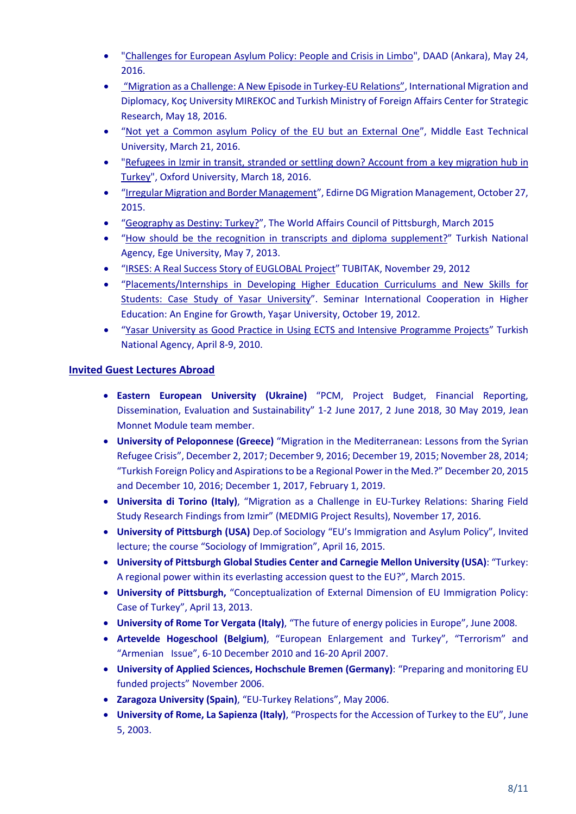- "Challenges for European Asylum Policy: People and Crisis in Limbo", DAAD (Ankara), May 24, 2016.
- "Migration as a Challenge: A New Episode in Turkey-EU Relations", International Migration and Diplomacy, Koç University MIREKOC and Turkish Ministry of Foreign Affairs Center for Strategic Research, May 18, 2016.
- "Not yet a Common asylum Policy of the EU but an External One", Middle East Technical University, March 21, 2016.
- "Refugees in Izmir in transit, stranded or settling down? Account from a key migration hub in Turkey", Oxford University, March 18, 2016.
- "Irregular Migration and Border Management", Edirne DG Migration Management, October 27, 2015.
- "Geography as Destiny: Turkey?", The World Affairs Council of Pittsburgh, March 2015
- "How should be the recognition in transcripts and diploma supplement?" Turkish National Agency, Ege University, May 7, 2013.
- "IRSES: A Real Success Story of EUGLOBAL Project" TUBITAK, November 29, 2012
- "Placements/Internships in Developing Higher Education Curriculums and New Skills for Students: Case Study of Yasar University". Seminar International Cooperation in Higher Education: An Engine for Growth, Yaşar University, October 19, 2012.
- "Yasar University as Good Practice in Using ECTS and Intensive Programme Projects" Turkish National Agency, April 8-9, 2010.

# **Invited Guest Lectures Abroad**

- **Eastern European University (Ukraine)** "PCM, Project Budget, Financial Reporting, Dissemination, Evaluation and Sustainability" 1-2 June 2017, 2 June 2018, 30 May 2019, Jean Monnet Module team member.
- **University of Peloponnese (Greece)** "Migration in the Mediterranean: Lessons from the Syrian Refugee Crisis", December 2, 2017; December 9, 2016; December 19, 2015; November 28, 2014; "Turkish Foreign Policy and Aspirations to be a Regional Power in the Med.?" December 20, 2015 and December 10, 2016; December 1, 2017, February 1, 2019.
- **Universita di Torino (Italy)**, "Migration as a Challenge in EU-Turkey Relations: Sharing Field Study Research Findings from Izmir" (MEDMIG Project Results), November 17, 2016.
- **University of Pittsburgh (USA)** Dep.of Sociology "EU's Immigration and Asylum Policy", Invited lecture; the course "Sociology of Immigration", April 16, 2015.
- **University of Pittsburgh Global Studies Center and Carnegie Mellon University (USA)**: "Turkey: A regional power within its everlasting accession quest to the EU?", March 2015.
- **University of Pittsburgh,** "Conceptualization of External Dimension of EU Immigration Policy: Case of Turkey", April 13, 2013.
- **University of Rome Tor Vergata (Italy)**, "The future of energy policies in Europe", June 2008.
- **Artevelde Hogeschool (Belgium)**, "European Enlargement and Turkey", "Terrorism" and "Armenian Issue", 6-10 December 2010 and 16-20 April 2007.
- **University of Applied Sciences, Hochschule Bremen (Germany)**: "Preparing and monitoring EU funded projects" November 2006.
- **Zaragoza University (Spain)**, "EU-Turkey Relations", May 2006.
- **University of Rome, La Sapienza (Italy)**, "Prospects for the Accession of Turkey to the EU", June 5, 2003.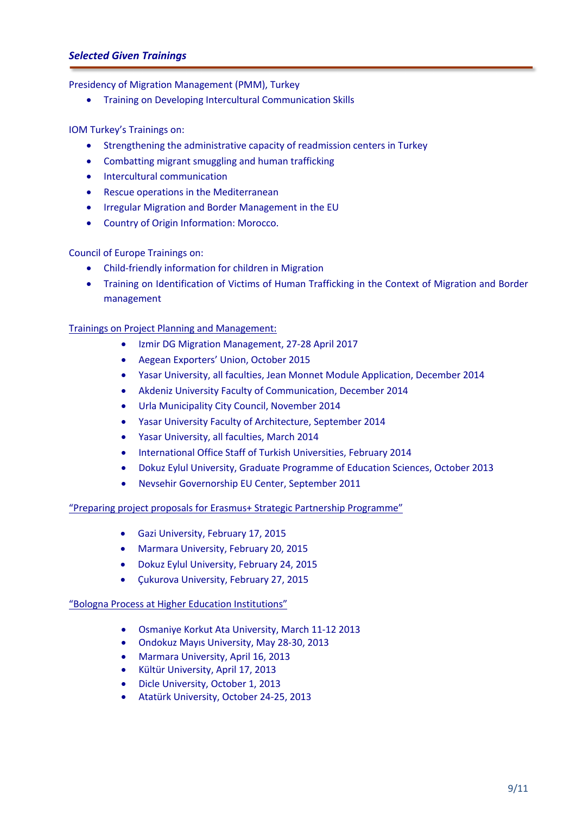## *Selected Given Trainings*

Presidency of Migration Management (PMM), Turkey

• Training on Developing Intercultural Communication Skills

IOM Turkey's Trainings on:

- Strengthening the administrative capacity of readmission centers in Turkey
- Combatting migrant smuggling and human trafficking
- Intercultural communication
- Rescue operations in the Mediterranean
- Irregular Migration and Border Management in the EU
- Country of Origin Information: Morocco.

Council of Europe Trainings on:

- Child-friendly information for children in Migration
- Training on Identification of Victims of Human Trafficking in the Context of Migration and Border management

Trainings on Project Planning and Management:

- Izmir DG Migration Management, 27-28 April 2017
- Aegean Exporters' Union, October 2015
- Yasar University, all faculties, Jean Monnet Module Application, December 2014
- Akdeniz University Faculty of Communication, December 2014
- Urla Municipality City Council, November 2014
- Yasar University Faculty of Architecture, September 2014
- Yasar University, all faculties, March 2014
- International Office Staff of Turkish Universities, February 2014
- Dokuz Eylul University, Graduate Programme of Education Sciences, October 2013
- Nevsehir Governorship EU Center, September 2011

#### "Preparing project proposals for Erasmus+ Strategic Partnership Programme"

- Gazi University, February 17, 2015
- Marmara University, February 20, 2015
- Dokuz Eylul University, February 24, 2015
- Çukurova University, February 27, 2015

#### "Bologna Process at Higher Education Institutions"

- Osmaniye Korkut Ata University, March 11-12 2013
- Ondokuz Mayıs University, May 28-30, 2013
- Marmara University, April 16, 2013
- Kültür University, April 17, 2013
- Dicle University, October 1, 2013
- Atatürk University, October 24-25, 2013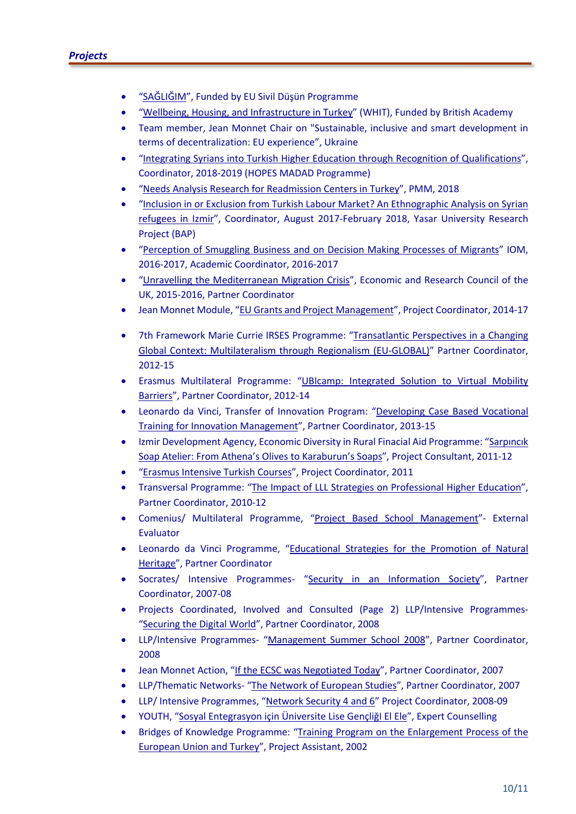- "SAĞLIĞIM", Funded by EU Sivil Düşün Programme
- "Wellbeing, Housing, and Infrastructure in Turkey" (WHIT), Funded by British Academy
- Team member, Jean Monnet Chair on "Sustainable, inclusive and smart development in terms of decentralization: EU experience", Ukraine
- "Integrating Syrians into Turkish Higher Education through Recognition of Qualifications", Coordinator, 2018-2019 (HOPES MADAD Programme)
- "Needs Analysis Research for Readmission Centers in Turkey", PMM, 2018
- "Inclusion in or Exclusion from Turkish Labour Market? An Ethnographic Analysis on Syrian refugees in Izmir", Coordinator, August 2017-February 2018, Yasar University Research Project (BAP)
- "Perception of Smuggling Business and on Decision Making Processes of Migrants" IOM, 2016-2017, Academic Coordinator, 2016-2017
- "Unravelling the Mediterranean Migration Crisis", Economic and Research Council of the UK, 2015-2016, Partner Coordinator
- Jean Monnet Module, "EU Grants and Project Management", Project Coordinator, 2014-17
- 7th Framework Marie Currie IRSES Programme: "Transatlantic Perspectives in a Changing Global Context: Multilateralism through Regionalism (EU-GLOBAL)" Partner Coordinator, 2012-15
- Erasmus Multilateral Programme: "UBIcamp: Integrated Solution to Virtual Mobility Barriers", Partner Coordinator, 2012-14
- Leonardo da Vinci, Transfer of Innovation Program: "Developing Case Based Vocational Training for Innovation Management", Partner Coordinator, 2013-15
- Izmir Development Agency, Economic Diversity in Rural Finacial Aid Programme: "Sarpıncık Soap Atelier: From Athena's Olives to Karaburun's Soaps", Project Consultant, 2011-12
- "Erasmus Intensive Turkish Courses", Project Coordinator, 2011
- Transversal Programme: "The Impact of LLL Strategies on Professional Higher Education", Partner Coordinator, 2010-12
- Comenius/ Multilateral Programme, "Project Based School Management"- External Evaluator
- Leonardo da Vinci Programme, "Educational Strategies for the Promotion of Natural Heritage", Partner Coordinator
- Socrates/ Intensive Programmes- "Security in an Information Society", Partner Coordinator, 2007-08
- Projects Coordinated, Involved and Consulted (Page 2) LLP/Intensive Programmes- "Securing the Digital World", Partner Coordinator, 2008
- LLP/Intensive Programmes- "Management Summer School 2008", Partner Coordinator, 2008
- Jean Monnet Action, "If the ECSC was Negotiated Today", Partner Coordinator, 2007
- LLP/Thematic Networks- "The Network of European Studies", Partner Coordinator, 2007
- LLP/ Intensive Programmes, "Network Security 4 and 6" Project Coordinator, 2008-09
- YOUTH, "Sosyal Entegrasyon için Üniversite Lise GençliğI El Ele", Expert Counselling
- Bridges of Knowledge Programme: "Training Program on the Enlargement Process of the European Union and Turkey", Project Assistant, 2002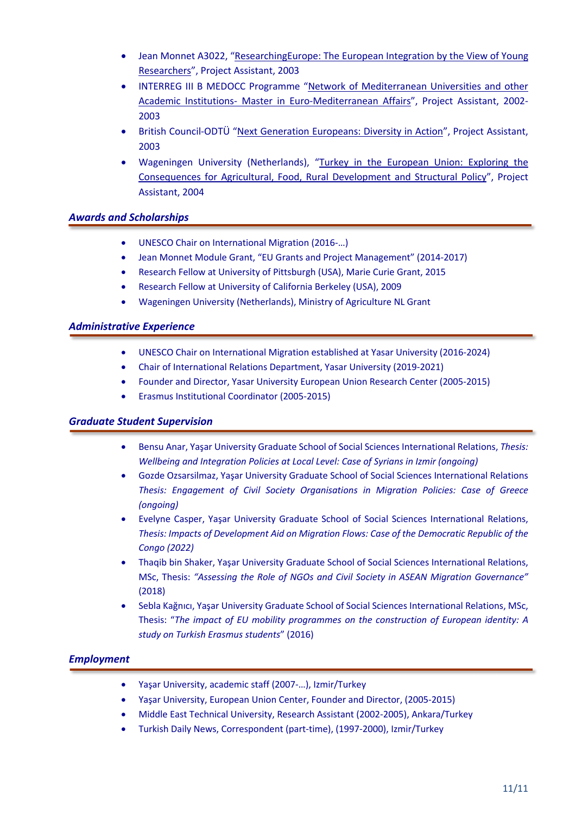- Jean Monnet A3022, "ResearchingEurope: The European Integration by the View of Young Researchers", Project Assistant, 2003
- INTERREG III B MEDOCC Programme "Network of Mediterranean Universities and other Academic Institutions- Master in Euro-Mediterranean Affairs", Project Assistant, 2002- 2003
- British Council-ODTÜ "Next Generation Europeans: Diversity in Action", Project Assistant, 2003
- Wageningen University (Netherlands), "Turkey in the European Union: Exploring the Consequences for Agricultural, Food, Rural Development and Structural Policy", Project Assistant, 2004

## *Awards and Scholarships*

- UNESCO Chair on International Migration (2016-…)
- Jean Monnet Module Grant, "EU Grants and Project Management" (2014-2017)
- Research Fellow at University of Pittsburgh (USA), Marie Curie Grant, 2015
- Research Fellow at University of California Berkeley (USA), 2009
- Wageningen University (Netherlands), Ministry of Agriculture NL Grant

### *Administrative Experience*

- UNESCO Chair on International Migration established at Yasar University (2016-2024)
- Chair of International Relations Department, Yasar University (2019-2021)
- Founder and Director, Yasar University European Union Research Center (2005-2015)
- Erasmus Institutional Coordinator (2005-2015)

#### *Graduate Student Supervision*

- Bensu Anar, Yaşar University Graduate School of Social Sciences International Relations, *Thesis: Wellbeing and Integration Policies at Local Level: Case of Syrians in Izmir (ongoing)*
- Gozde Ozsarsilmaz, Yaşar University Graduate School of Social Sciences International Relations *Thesis: Engagement of Civil Society Organisations in Migration Policies: Case of Greece (ongoing)*
- Evelyne Casper, Yaşar University Graduate School of Social Sciences International Relations, *Thesis: Impacts of Development Aid on Migration Flows: Case of the Democratic Republic of the Congo (2022)*
- Thaqib bin Shaker, Yaşar University Graduate School of Social Sciences International Relations, MSc, Thesis: *"Assessing the Role of NGOs and Civil Society in ASEAN Migration Governance"*  (2018)
- Sebla Kağnıcı, Yaşar University Graduate School of Social Sciences International Relations, MSc, Thesis: "*The impact of EU mobility programmes on the construction of European identity: A study on Turkish Erasmus students*" (2016)

## *Employment*

- Yaşar University, academic staff (2007-…), Izmir/Turkey
- Yaşar University, European Union Center, Founder and Director, (2005-2015)
- Middle East Technical University, Research Assistant (2002-2005), Ankara/Turkey
- Turkish Daily News, Correspondent (part-time), (1997-2000), Izmir/Turkey